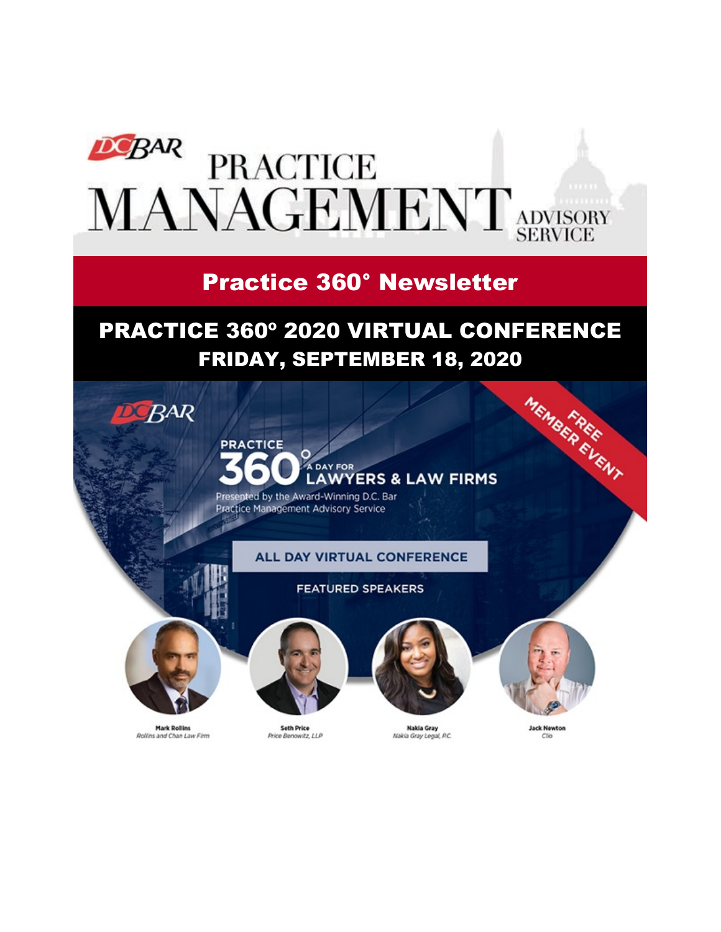

# Practice 360° Newsletter

# PRACTICE 360º 2020 VIRTUAL CONFERENCE

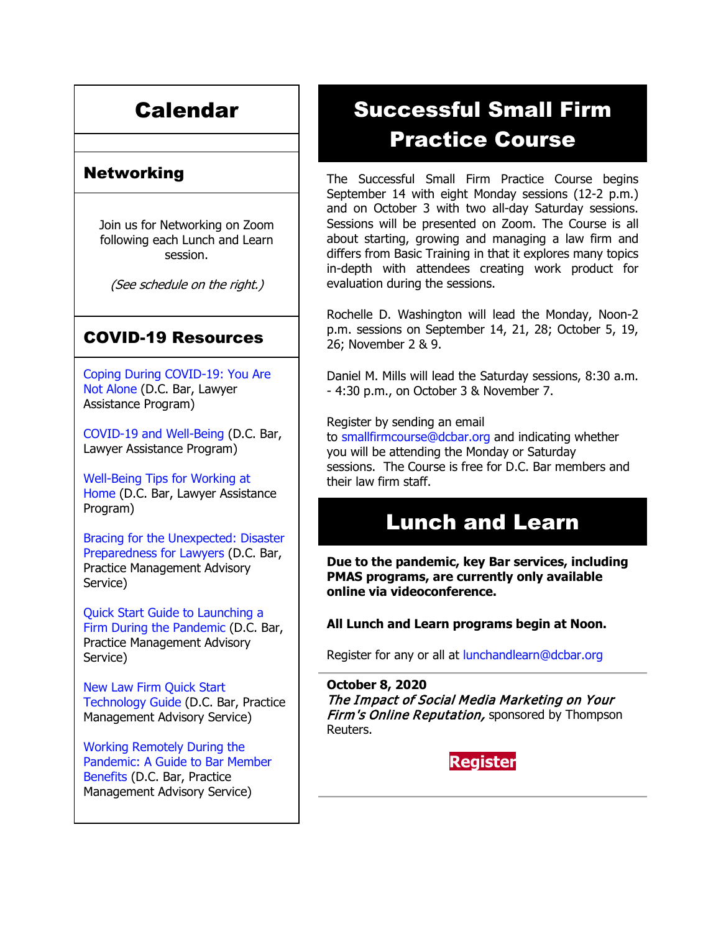# Calendar

### Networking

Join us for Networking on Zoom following each Lunch and Learn session.

(See schedule on the right.)

#### COVID-19 Resources

[Coping During COVID-19: You Are](https://www.dcbar.org/news-events/news/coping-during-covid-19-you-are-not-alone?utm_source=Real%20Magnet&utm_medium=INSERT_CHANNEL&utm_campaign=INSERT_LINK_ID)  [Not Alone](https://www.dcbar.org/news-events/news/coping-during-covid-19-you-are-not-alone?utm_source=Real%20Magnet&utm_medium=INSERT_CHANNEL&utm_campaign=INSERT_LINK_ID) (D.C. Bar, Lawyer Assistance Program)

[COVID-19 and Well-Being](https://dcbarcms-uat3.i3digital.com/DCBar/i3Base/DCBar/For%20Lawyers/Lawyer%20Assistance%20Program/PDFs/covid-19-and-well-being.pdf) (D.C. Bar, Lawyer Assistance Program)

[Well-Being Tips for Working at](https://dcbarcms-uat3.i3digital.com/DCBar/i3Base/DCBar/For%20Lawyers/Lawyer%20Assistance%20Program/PDFs/Wellness-Tips-Working-From-Home.pdf)  [Home](https://dcbarcms-uat3.i3digital.com/DCBar/i3Base/DCBar/For%20Lawyers/Lawyer%20Assistance%20Program/PDFs/Wellness-Tips-Working-From-Home.pdf) (D.C. Bar, Lawyer Assistance Program)

[Bracing for the Unexpected: Disaster](https://www.dcbar.org/news-events/news/bracing-for-the-unexpected-disaster-preparedness-f?utm_source=Real%20Magnet&utm_medium=INSERT_CHANNEL&utm_campaign=INSERT_LINK_ID)  [Preparedness for Lawyers](https://www.dcbar.org/news-events/news/bracing-for-the-unexpected-disaster-preparedness-f?utm_source=Real%20Magnet&utm_medium=INSERT_CHANNEL&utm_campaign=INSERT_LINK_ID) (D.C. Bar, Practice Management Advisory Service)

[Quick Start Guide to Launching a](https://www.dcbar.org/getmedia/d28b7c4b-3dcb-419e-828d-fdc2340588f9/Career-disruption-setting-up-a-law-firm-quickly-resources?utm_source=Real%20Magnet&utm_medium=INSERT_CHANNEL&utm_campaign=INSERT_LINK_ID)  [Firm During the Pandemic](https://www.dcbar.org/getmedia/d28b7c4b-3dcb-419e-828d-fdc2340588f9/Career-disruption-setting-up-a-law-firm-quickly-resources?utm_source=Real%20Magnet&utm_medium=INSERT_CHANNEL&utm_campaign=INSERT_LINK_ID) (D.C. Bar, Practice Management Advisory Service)

[New Law Firm Quick Start](https://www.dcbar.org/getmedia/34a3addd-9a13-4fc7-8e68-fbc2be8b50e0/Quick-start-Tech-Guide-final?utm_source=Real%20Magnet&utm_medium=INSERT_CHANNEL&utm_campaign=INSERT_LINK_ID)  [Technology Guide](https://www.dcbar.org/getmedia/34a3addd-9a13-4fc7-8e68-fbc2be8b50e0/Quick-start-Tech-Guide-final?utm_source=Real%20Magnet&utm_medium=INSERT_CHANNEL&utm_campaign=INSERT_LINK_ID) (D.C. Bar, Practice Management Advisory Service)

[Working Remotely During the](https://www.dcbar.org/news-events/news/working-remotely-during-the-pandemic-a-guide-to-ba?utm_source=Real%20Magnet&utm_medium=INSERT_CHANNEL&utm_campaign=INSERT_LINK_ID)  [Pandemic: A Guide to Bar Member](https://www.dcbar.org/news-events/news/working-remotely-during-the-pandemic-a-guide-to-ba?utm_source=Real%20Magnet&utm_medium=INSERT_CHANNEL&utm_campaign=INSERT_LINK_ID)  [Benefits](https://www.dcbar.org/news-events/news/working-remotely-during-the-pandemic-a-guide-to-ba?utm_source=Real%20Magnet&utm_medium=INSERT_CHANNEL&utm_campaign=INSERT_LINK_ID) (D.C. Bar, Practice Management Advisory Service)

# Successful Small Firm Practice Course

The Successful Small Firm Practice Course begins September 14 with eight Monday sessions (12-2 p.m.) and on October 3 with two all-day Saturday sessions. Sessions will be presented on Zoom. The Course is all about starting, growing and managing a law firm and differs from Basic Training in that it explores many topics in-depth with attendees creating work product for evaluation during the sessions.

Rochelle D. Washington will lead the Monday, Noon-2 p.m. sessions on September 14, 21, 28; October 5, 19, 26; November 2 & 9.

Daniel M. Mills will lead the Saturday sessions, 8:30 a.m. - 4:30 p.m., on October 3 & November 7.

Register by sending an email to [smallfirmcourse@dcbar.org](mailto:SmallFirmCourse@DCBar.org) and indicating whether you will be attending the Monday or Saturday sessions. The Course is free for D.C. Bar members and their law firm staff.

### Lunch and Learn

**Due to the pandemic, key Bar services, including PMAS programs, are currently only available online via videoconference.**

#### **All Lunch and Learn programs begin at Noon.**

Register for any or all at [lunchandlearn@dcbar.org](mailto:lunchandlearn@dcbar.org?subject=Lunch%20and%20Learn)

**October 8, 2020** The Impact of Social Media Marketing on Your Firm's Online Reputation, sponsored by Thompson Reuters.

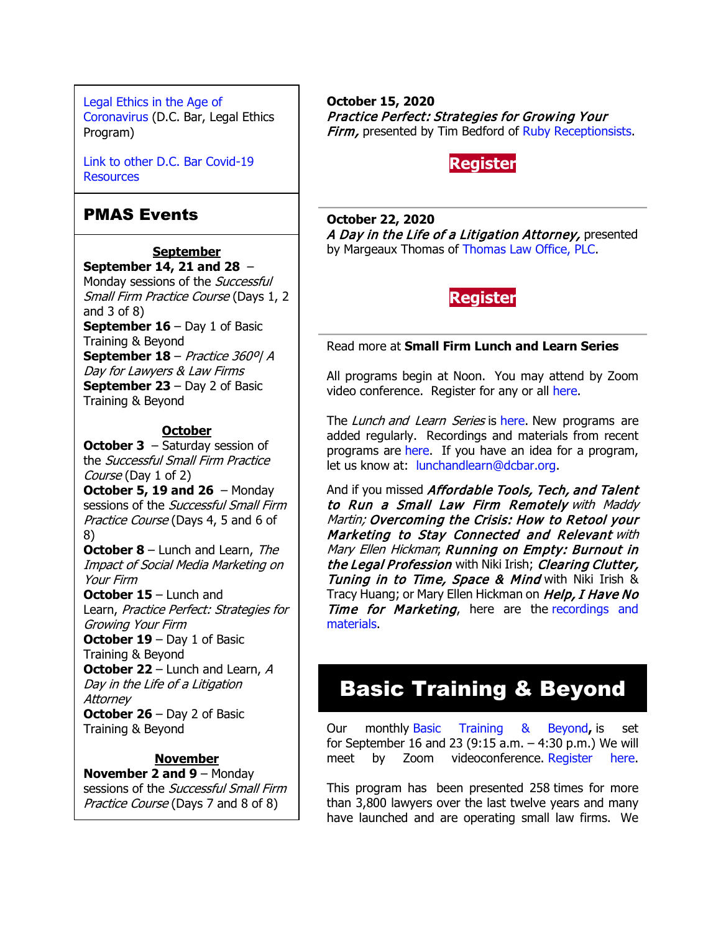[Legal Ethics in the Age of](https://www.dcbar.org/news-events/news/legal-ethics-in-the-age-of-the-coronavirus?utm_source=Real%20Magnet&utm_medium=INSERT_CHANNEL&utm_campaign=INSERT_LINK_ID)  [Coronavirus](https://www.dcbar.org/news-events/news/legal-ethics-in-the-age-of-the-coronavirus?utm_source=Real%20Magnet&utm_medium=INSERT_CHANNEL&utm_campaign=INSERT_LINK_ID) (D.C. Bar, Legal Ethics Program)

[Link to other D.C.](https://www.dcbar.org/for-lawyers/membership/covid-19-resources?utm_source=Real%20Magnet&utm_medium=INSERT_CHANNEL&utm_campaign=INSERT_LINK_ID) Bar Covid-19 [Resources](https://www.dcbar.org/for-lawyers/membership/covid-19-resources?utm_source=Real%20Magnet&utm_medium=INSERT_CHANNEL&utm_campaign=INSERT_LINK_ID)

#### PMAS Events

#### **September**

**September 14, 21 and 28** – Monday sessions of the Successful Small Firm Practice Course (Days 1, 2 and 3 of 8) **September 16** – Day 1 of Basic Training & Beyond **September 18** – Practice 360º| A Day for Lawyers & Law Firms **September 23** – Day 2 of Basic Training & Beyond

#### **October**

**October 3** – Saturday session of the Successful Small Firm Practice Course (Day 1 of 2)

**October 5, 19 and 26** – Monday sessions of the Successful Small Firm Practice Course (Days 4, 5 and 6 of 8)

**October 8** – Lunch and Learn, The Impact of Social Media Marketing on Your Firm

**October 15** – Lunch and Learn, Practice Perfect: Strategies for Growing Your Firm **October 19** – Day 1 of Basic Training & Beyond

**October 22** – Lunch and Learn, A Day in the Life of a Litigation **Attorney** 

**October 26** – Day 2 of Basic Training & Beyond

#### **November**

**November 2 and 9** – Monday sessions of the Successful Small Firm Practice Course (Days 7 and 8 of 8)

**October 15, 2020** Practice Perfect: Strategies for Growing Your Firm, presented by Tim Bedford of [Ruby Receptionsists.](https://www.ruby.com/)

#### **[Register](https://join.dcbar.org/eWeb/DynamicPage.aspx?site=dcbar&webcode=EventInfo&Reg_evt_key=29ae1229-003e-4101-99e2-aee704ff5b9c&RegPath=EventRegFees&FreeEvent=&Event=Lunch%20and%20Learn:%20Practice%20Perfect:%20Strategies%20for%20Growing%20Your%20Firm%20(Online%20Only)&FundraisingEvent=&evt_guest_limit=9999&utm_source=Real%20Magnet&utm_medium=INSERT_CHANNEL&utm_campaign=INSERT_LINK_ID)**

**October 22, 2020** A Day in the Life of a Litigation Attorney, presented by Margeaux Thomas of [Thomas Law Office, PLC.](https://thomaslawplc.com/)

#### **[Register](https://join.dcbar.org/eWeb/DynamicPage.aspx?site=dcbar&webcode=EventInfo&Reg_evt_key=f6301472-5e5b-4f96-bdc8-f0ffc6ba7231&RegPath=EventRegFees&FreeEvent=&Event=Lunch%20and%20Learn:%20A%20Day%20in%20the%20Life%20of%20a%20Litigation%20Attorney%20(Online%20Only)&FundraisingEvent=&evt_guest_limit=9999&utm_source=Real%20Magnet&utm_medium=INSERT_CHANNEL&utm_campaign=INSERT_LINK_ID)**

#### Read more at **[Small Firm Lunch](https://www.dcbar.org/for-lawyers/practice-management-advisory-service/courses-and-trainings/small-firm-lunch-and-learn-series?utm_source=Real%20Magnet&utm_medium=INSERT_CHANNEL&utm_campaign=INSERT_LINK_ID) and Learn Series**

All programs begin at Noon. You may attend by Zoom video conference. Register for any or all [here.](https://www.dcbar.org/for-lawyers/practice-management-advisory-service/courses-and-trainings/small-firm-lunch-and-learn-series?utm_source=Real%20Magnet&utm_medium=INSERT_CHANNEL&utm_campaign=INSERT_LINK_ID)

The Lunch and Learn Series is [here.](https://www.dcbar.org/for-lawyers/practice-management-advisory-service/courses-and-trainings/small-firm-lunch-and-learn-series?utm_source=Real%20Magnet&utm_medium=INSERT_CHANNEL&utm_campaign=INSERT_LINK_ID) New programs are added regularly. Recordings and materials from recent programs are [here.](https://www.dcbar.org/for-lawyers/practice-management-advisory-service/courses-and-trainings/small-firm-lunch-and-learn-series/past-lunch-and-learn-programs?utm_source=Real%20Magnet&utm_medium=INSERT_CHANNEL&utm_campaign=INSERT_LINK_ID) If you have an idea for a program, let us know at: [lunchandlearn@dcbar.org.](mailto:lunchandlearn@dcbar.org)

And if you missed Affordable Tools, Tech, and Talent to Run a Small Law Firm Remotely with Maddy Martin; Overcoming the Crisis: How to Retool your Marketing to Stay Connected and Relevant with Mary Ellen Hickman; Running on Empty: Burnout in the Legal Profession with Niki Irish; Clearing Clutter, Tuning in to Time, Space & Mind with Niki Irish & Tracy Huang; or Mary Ellen Hickman on Help, I Have No Time for Marketing, here are the recordings and [materials.](https://www.dcbar.org/for-lawyers/practice-management-advisory-service/courses-and-trainings/small-firm-lunch-and-learn-series/past-lunch-and-learn-programs?utm_source=Real%20Magnet&utm_medium=INSERT_CHANNEL&utm_campaign=INSERT_LINK_ID)

# Basic Training & Beyond

Our monthly [Basic Training & Beyond](https://www.dcbar.org/for-lawyers/practice-management-advisory-service/courses-and-trainings/basic-training-beyond?utm_source=Real%20Magnet&utm_medium=INSERT_CHANNEL&utm_campaign=INSERT_LINK_ID)**,** is set for September 16 and 23 (9:15 a.m. – 4:30 p.m.) We will meet by Zoom videoconference. [Register here.](https://www.dcbar.org/for-lawyers/practice-management-advisory-service/courses-and-trainings/basic-training-beyond?utm_source=Real%20Magnet&utm_medium=INSERT_CHANNEL&utm_campaign=INSERT_LINK_ID)

This program has been presented 258 times for more than 3,800 lawyers over the last twelve years and many have launched and are operating small law firms. We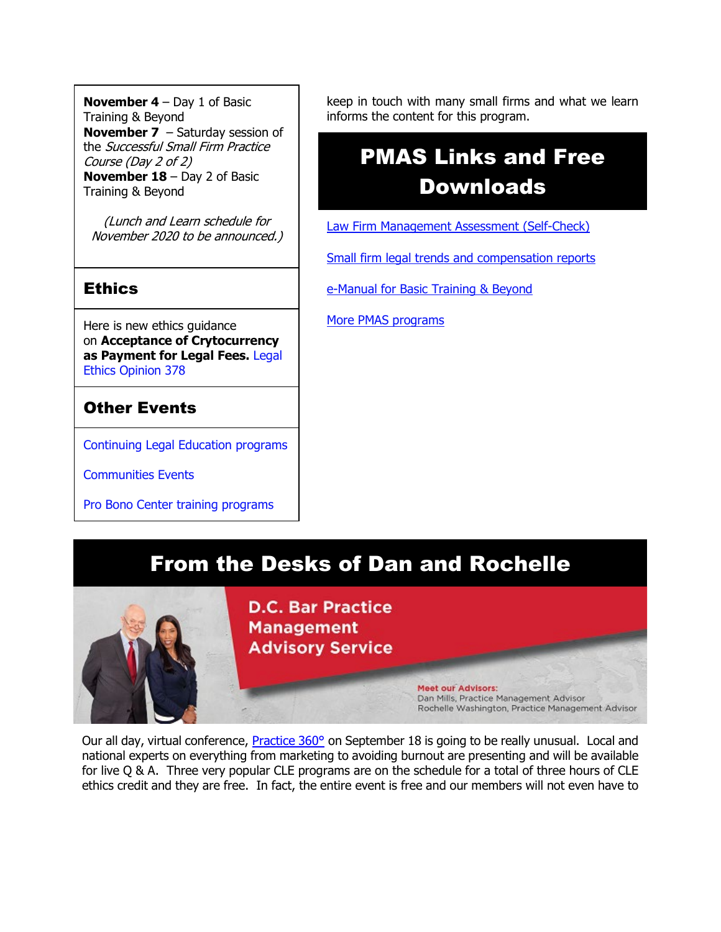**November 4** – Day 1 of Basic Training & Beyond **November 7** – Saturday session of the Successful Small Firm Practice Course (Day 2 of 2) **November 18** – Day 2 of Basic Training & Beyond

(Lunch and Learn schedule for November 2020 to be announced.)

#### **Ethics**

Here is new ethics guidance on **Acceptance of Crytocurrency as Payment for Legal Fees.** [Legal](https://www.dcbar.org/for-lawyers/legal-ethics/ethics-opinions-(1)?utm_source=Real%20Magnet&utm_medium=INSERT_CHANNEL&utm_campaign=INSERT_LINK_ID)  [Ethics Opinion 378](https://www.dcbar.org/for-lawyers/legal-ethics/ethics-opinions-(1)?utm_source=Real%20Magnet&utm_medium=INSERT_CHANNEL&utm_campaign=INSERT_LINK_ID)

### Other Events

[Continuing Legal Education programs](https://join.dcbar.org/eweb/DynamicPage.aspx?Site=DCBar&WebKey=cbe606bc-88d4-4d37-872c-f48d412a59e5&evt_etc_key=7aaf572d-f662-422f-9fe7-0ae3f4b705be&utm_source=Real%20Magnet&utm_medium=INSERT_CHANNEL&utm_campaign=INSERT_LINK_ID)

[Communities Events](https://join.dcbar.org/eweb/DynamicPage.aspx?site=dcbar&webcode=EventList&utm_source=Real%20Magnet&utm_medium=INSERT_CHANNEL&utm_campaign=INSERT_LINK_ID)

[Pro Bono Center training programs](https://www.dcbar.org/pro-bono/resources-and-training/pro-bono-center-training-program?utm_source=Real%20Magnet&utm_medium=INSERT_CHANNEL&utm_campaign=INSERT_LINK_ID)

keep in touch with many small firms and what we learn informs the content for this program.

# PMAS Links and Free Downloads

[Law Firm Management Assessment \(Self-Check\)](https://www.dcbar.org/for-lawyers/practice-management-advisory-service/practice-tips-and-compliance/self-check?utm_source=Real%20Magnet&utm_medium=INSERT_CHANNEL&utm_campaign=INSERT_LINK_ID)

[Small firm legal trends and compensation reports](https://www.dcbar.org/for-lawyers/practice-management-advisory-service/courses-and-trainings/basic-training-beyond/basic-training-beyond-supplements?utm_source=Real%20Magnet&utm_medium=INSERT_CHANNEL&utm_campaign=INSERT_LINK_ID)

[e-Manual for Basic Training & Beyond](https://www.dcbar.org/getmedia/9a37592a-b5ea-4210-879d-672a61fcd3ff/eManual-050316?utm_source=Real%20Magnet&utm_medium=INSERT_CHANNEL&utm_campaign=INSERT_LINK_ID)

[More PMAS programs](https://www.dcbar.org/for-lawyers/practice-management-advisory-service/courses-and-trainings?utm_source=Real%20Magnet&utm_medium=INSERT_CHANNEL&utm_campaign=INSERT_LINK_ID)

# From the Desks of Dan and Rochelle

**D.C. Bar Practice Management Advisory Service** 

Meet our Advisors:

Dan Mills, Practice Management Advisor Rochelle Washington, Practice Management Advisor

Our all day, virtual conference, **[Practice 360°](https://www.dcbar.org/for-lawyers/practice-management-advisory-service/courses-and-trainings/practice-360%C2%B0/2020-practice-360-list?utm_source=Real%20Magnet&utm_medium=INSERT_CHANNEL&utm_campaign=INSERT_LINK_ID)** on September 18 is going to be really unusual. Local and national experts on everything from marketing to avoiding burnout are presenting and will be available for live Q & A. Three very popular CLE programs are on the schedule for a total of three hours of CLE ethics credit and they are free. In fact, the entire event is free and our members will not even have to